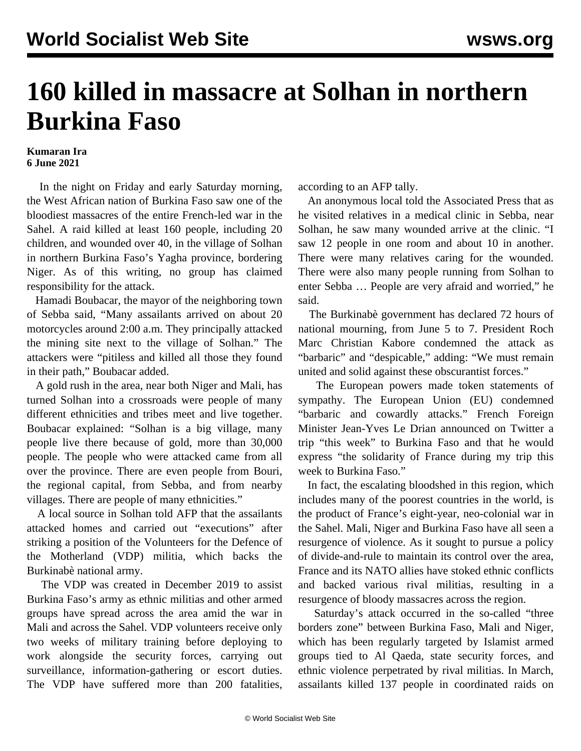## **160 killed in massacre at Solhan in northern Burkina Faso**

## **Kumaran Ira 6 June 2021**

 In the night on Friday and early Saturday morning, the West African nation of Burkina Faso saw one of the bloodiest massacres of the entire French-led war in the Sahel. A raid killed at least 160 people, including 20 children, and wounded over 40, in the village of Solhan in northern Burkina Faso's Yagha province, bordering Niger. As of this writing, no group has claimed responsibility for the attack.

 Hamadi Boubacar, the mayor of the neighboring town of Sebba said, "Many assailants arrived on about 20 motorcycles around 2:00 a.m. They principally attacked the mining site next to the village of Solhan." The attackers were "pitiless and killed all those they found in their path," Boubacar added.

 A gold rush in the area, near both Niger and Mali, has turned Solhan into a crossroads were people of many different ethnicities and tribes meet and live together. Boubacar explained: "Solhan is a big village, many people live there because of gold, more than 30,000 people. The people who were attacked came from all over the province. There are even people from Bouri, the regional capital, from Sebba, and from nearby villages. There are people of many ethnicities."

 A local source in Solhan told AFP that the assailants attacked homes and carried out "executions" after striking a position of the Volunteers for the Defence of the Motherland (VDP) militia, which backs the Burkinabè national army.

 The VDP was created in December 2019 to assist Burkina Faso's army as ethnic militias and other armed groups have spread across the area amid the war in Mali and across the Sahel. VDP volunteers receive only two weeks of military training before deploying to work alongside the security forces, carrying out surveillance, information-gathering or escort duties. The VDP have suffered more than 200 fatalities,

according to an AFP tally.

 An anonymous local told the Associated Press that as he visited relatives in a medical clinic in Sebba, near Solhan, he saw many wounded arrive at the clinic. "I saw 12 people in one room and about 10 in another. There were many relatives caring for the wounded. There were also many people running from Solhan to enter Sebba … People are very afraid and worried," he said.

 The Burkinabè government has declared 72 hours of national mourning, from June 5 to 7. President Roch Marc Christian Kabore condemned the attack as "barbaric" and "despicable," adding: "We must remain united and solid against these obscurantist forces."

 The European powers made token statements of sympathy. The European Union (EU) condemned "barbaric and cowardly attacks." French Foreign Minister Jean-Yves Le Drian announced on Twitter a trip "this week" to Burkina Faso and that he would express "the solidarity of France during my trip this week to Burkina Faso."

 In fact, the escalating bloodshed in this region, which includes many of the poorest countries in the world, is the product of France's eight-year, neo-colonial war in the Sahel. Mali, Niger and Burkina Faso have all seen a resurgence of violence. As it sought to pursue a policy of divide-and-rule to maintain its control over the area, France and its NATO allies have stoked ethnic conflicts and backed various rival militias, resulting in a resurgence of bloody massacres across the region.

 Saturday's attack occurred in the so-called "three borders zone" between Burkina Faso, Mali and Niger, which has been regularly targeted by Islamist armed groups tied to Al Qaeda, state security forces, and ethnic violence perpetrated by rival militias. In March, assailants killed 137 people in coordinated raids on